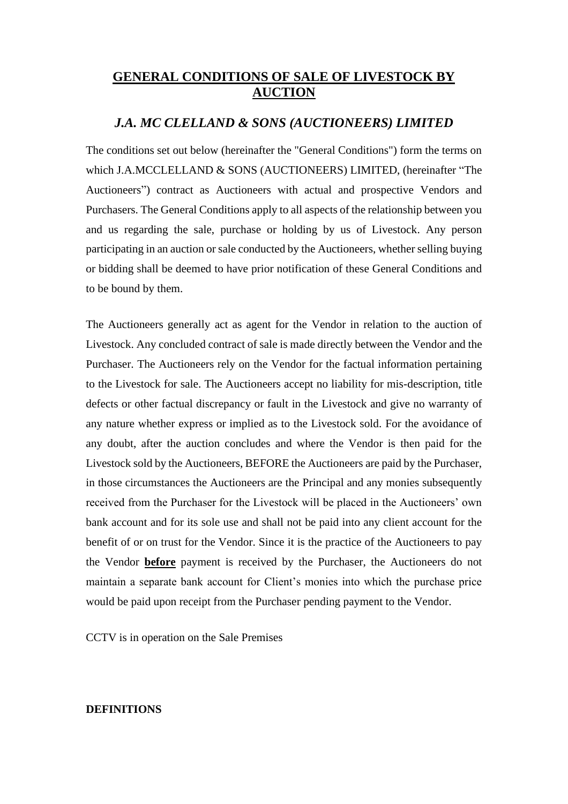# **GENERAL CONDITIONS OF SALE OF LIVESTOCK BY AUCTION**

## *J.A. MC CLELLAND & SONS (AUCTIONEERS) LIMITED*

The conditions set out below (hereinafter the "General Conditions") form the terms on which J.A.MCCLELLAND & SONS (AUCTIONEERS) LIMITED, (hereinafter "The Auctioneers") contract as Auctioneers with actual and prospective Vendors and Purchasers. The General Conditions apply to all aspects of the relationship between you and us regarding the sale, purchase or holding by us of Livestock. Any person participating in an auction or sale conducted by the Auctioneers, whether selling buying or bidding shall be deemed to have prior notification of these General Conditions and to be bound by them.

The Auctioneers generally act as agent for the Vendor in relation to the auction of Livestock. Any concluded contract of sale is made directly between the Vendor and the Purchaser. The Auctioneers rely on the Vendor for the factual information pertaining to the Livestock for sale. The Auctioneers accept no liability for mis-description, title defects or other factual discrepancy or fault in the Livestock and give no warranty of any nature whether express or implied as to the Livestock sold. For the avoidance of any doubt, after the auction concludes and where the Vendor is then paid for the Livestock sold by the Auctioneers, BEFORE the Auctioneers are paid by the Purchaser, in those circumstances the Auctioneers are the Principal and any monies subsequently received from the Purchaser for the Livestock will be placed in the Auctioneers' own bank account and for its sole use and shall not be paid into any client account for the benefit of or on trust for the Vendor. Since it is the practice of the Auctioneers to pay the Vendor **before** payment is received by the Purchaser, the Auctioneers do not maintain a separate bank account for Client's monies into which the purchase price would be paid upon receipt from the Purchaser pending payment to the Vendor.

CCTV is in operation on the Sale Premises

## **DEFINITIONS**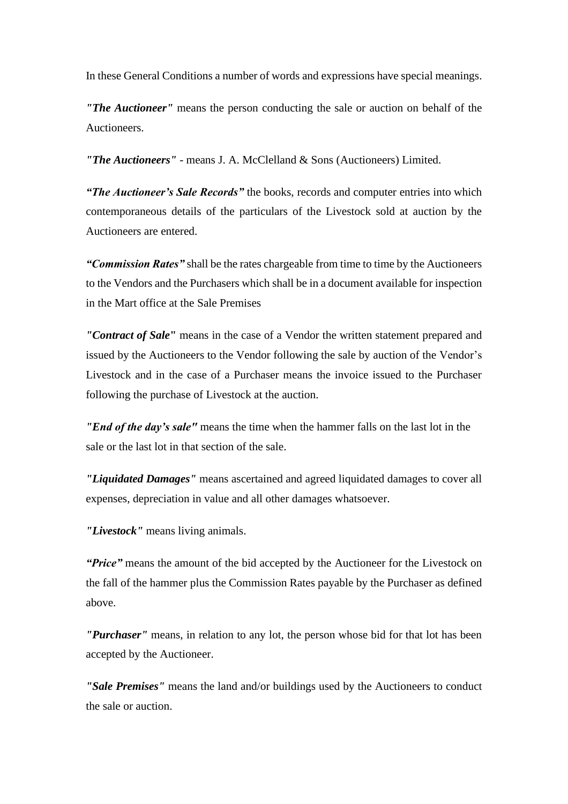In these General Conditions a number of words and expressions have special meanings.

*"The Auctioneer"* means the person conducting the sale or auction on behalf of the Auctioneers.

*"The Auctioneers"* - means J. A. McClelland & Sons (Auctioneers) Limited.

*"The Auctioneer's Sale Records"* the books, records and computer entries into which contemporaneous details of the particulars of the Livestock sold at auction by the Auctioneers are entered.

*"Commission Rates"* shall be the rates chargeable from time to time by the Auctioneers to the Vendors and the Purchasers which shall be in a document available for inspection in the Mart office at the Sale Premises

*"Contract of Sale***"** means in the case of a Vendor the written statement prepared and issued by the Auctioneers to the Vendor following the sale by auction of the Vendor's Livestock and in the case of a Purchaser means the invoice issued to the Purchaser following the purchase of Livestock at the auction.

*"End of the day's sale"* means the time when the hammer falls on the last lot in the sale or the last lot in that section of the sale.

*"Liquidated Damages"* means ascertained and agreed liquidated damages to cover all expenses, depreciation in value and all other damages whatsoever.

*"Livestock"* means living animals.

*"Price"* means the amount of the bid accepted by the Auctioneer for the Livestock on the fall of the hammer plus the Commission Rates payable by the Purchaser as defined above.

*"Purchaser"* means, in relation to any lot, the person whose bid for that lot has been accepted by the Auctioneer.

*"Sale Premises"* means the land and/or buildings used by the Auctioneers to conduct the sale or auction.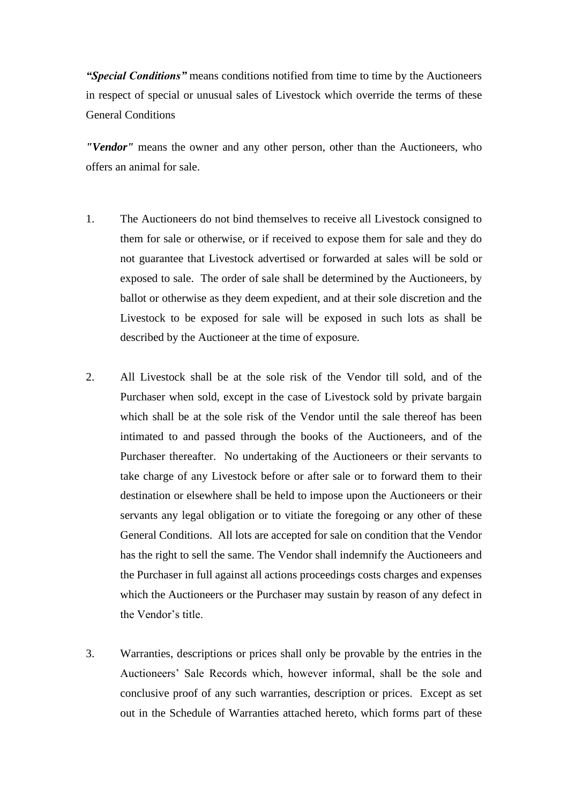*"Special Conditions"* means conditions notified from time to time by the Auctioneers in respect of special or unusual sales of Livestock which override the terms of these General Conditions

*"Vendor"* means the owner and any other person, other than the Auctioneers, who offers an animal for sale.

- 1. The Auctioneers do not bind themselves to receive all Livestock consigned to them for sale or otherwise, or if received to expose them for sale and they do not guarantee that Livestock advertised or forwarded at sales will be sold or exposed to sale. The order of sale shall be determined by the Auctioneers, by ballot or otherwise as they deem expedient, and at their sole discretion and the Livestock to be exposed for sale will be exposed in such lots as shall be described by the Auctioneer at the time of exposure.
- 2. All Livestock shall be at the sole risk of the Vendor till sold, and of the Purchaser when sold, except in the case of Livestock sold by private bargain which shall be at the sole risk of the Vendor until the sale thereof has been intimated to and passed through the books of the Auctioneers, and of the Purchaser thereafter. No undertaking of the Auctioneers or their servants to take charge of any Livestock before or after sale or to forward them to their destination or elsewhere shall be held to impose upon the Auctioneers or their servants any legal obligation or to vitiate the foregoing or any other of these General Conditions. All lots are accepted for sale on condition that the Vendor has the right to sell the same. The Vendor shall indemnify the Auctioneers and the Purchaser in full against all actions proceedings costs charges and expenses which the Auctioneers or the Purchaser may sustain by reason of any defect in the Vendor's title.
- 3. Warranties, descriptions or prices shall only be provable by the entries in the Auctioneers' Sale Records which, however informal, shall be the sole and conclusive proof of any such warranties, description or prices. Except as set out in the Schedule of Warranties attached hereto, which forms part of these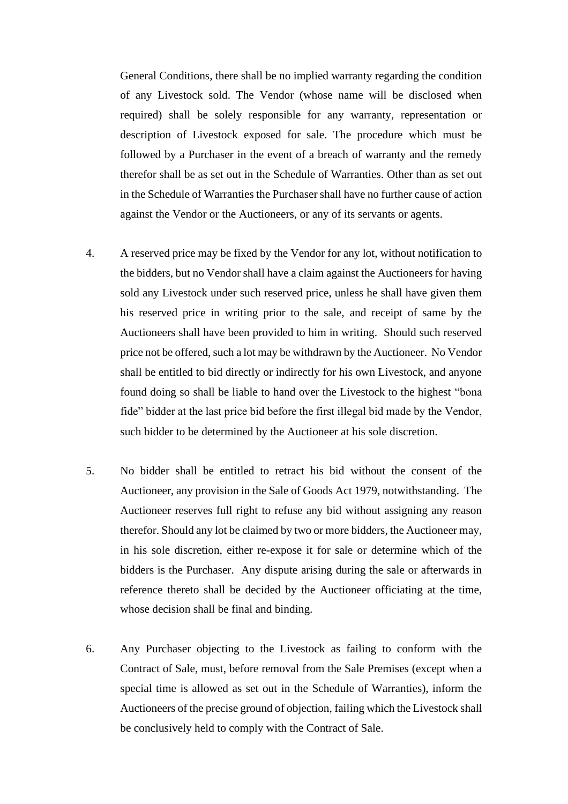General Conditions, there shall be no implied warranty regarding the condition of any Livestock sold. The Vendor (whose name will be disclosed when required) shall be solely responsible for any warranty, representation or description of Livestock exposed for sale. The procedure which must be followed by a Purchaser in the event of a breach of warranty and the remedy therefor shall be as set out in the Schedule of Warranties. Other than as set out in the Schedule of Warranties the Purchaser shall have no further cause of action against the Vendor or the Auctioneers, or any of its servants or agents.

- 4. A reserved price may be fixed by the Vendor for any lot, without notification to the bidders, but no Vendor shall have a claim against the Auctioneers for having sold any Livestock under such reserved price, unless he shall have given them his reserved price in writing prior to the sale, and receipt of same by the Auctioneers shall have been provided to him in writing. Should such reserved price not be offered, such a lot may be withdrawn by the Auctioneer. No Vendor shall be entitled to bid directly or indirectly for his own Livestock, and anyone found doing so shall be liable to hand over the Livestock to the highest "bona fide" bidder at the last price bid before the first illegal bid made by the Vendor, such bidder to be determined by the Auctioneer at his sole discretion.
- 5. No bidder shall be entitled to retract his bid without the consent of the Auctioneer, any provision in the Sale of Goods Act 1979, notwithstanding. The Auctioneer reserves full right to refuse any bid without assigning any reason therefor. Should any lot be claimed by two or more bidders, the Auctioneer may, in his sole discretion, either re-expose it for sale or determine which of the bidders is the Purchaser. Any dispute arising during the sale or afterwards in reference thereto shall be decided by the Auctioneer officiating at the time, whose decision shall be final and binding.
- 6. Any Purchaser objecting to the Livestock as failing to conform with the Contract of Sale, must, before removal from the Sale Premises (except when a special time is allowed as set out in the Schedule of Warranties), inform the Auctioneers of the precise ground of objection, failing which the Livestock shall be conclusively held to comply with the Contract of Sale.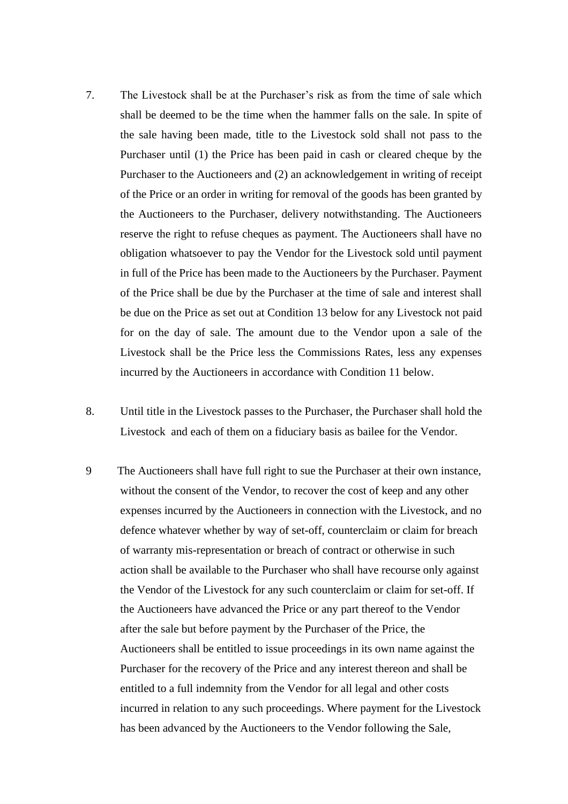- 7. The Livestock shall be at the Purchaser's risk as from the time of sale which shall be deemed to be the time when the hammer falls on the sale. In spite of the sale having been made, title to the Livestock sold shall not pass to the Purchaser until (1) the Price has been paid in cash or cleared cheque by the Purchaser to the Auctioneers and (2) an acknowledgement in writing of receipt of the Price or an order in writing for removal of the goods has been granted by the Auctioneers to the Purchaser, delivery notwithstanding. The Auctioneers reserve the right to refuse cheques as payment. The Auctioneers shall have no obligation whatsoever to pay the Vendor for the Livestock sold until payment in full of the Price has been made to the Auctioneers by the Purchaser. Payment of the Price shall be due by the Purchaser at the time of sale and interest shall be due on the Price as set out at Condition 13 below for any Livestock not paid for on the day of sale. The amount due to the Vendor upon a sale of the Livestock shall be the Price less the Commissions Rates, less any expenses incurred by the Auctioneers in accordance with Condition 11 below.
- 8. Until title in the Livestock passes to the Purchaser, the Purchaser shall hold the Livestock and each of them on a fiduciary basis as bailee for the Vendor.
- 9 The Auctioneers shall have full right to sue the Purchaser at their own instance, without the consent of the Vendor, to recover the cost of keep and any other expenses incurred by the Auctioneers in connection with the Livestock, and no defence whatever whether by way of set-off, counterclaim or claim for breach of warranty mis-representation or breach of contract or otherwise in such action shall be available to the Purchaser who shall have recourse only against the Vendor of the Livestock for any such counterclaim or claim for set-off. If the Auctioneers have advanced the Price or any part thereof to the Vendor after the sale but before payment by the Purchaser of the Price, the Auctioneers shall be entitled to issue proceedings in its own name against the Purchaser for the recovery of the Price and any interest thereon and shall be entitled to a full indemnity from the Vendor for all legal and other costs incurred in relation to any such proceedings. Where payment for the Livestock has been advanced by the Auctioneers to the Vendor following the Sale,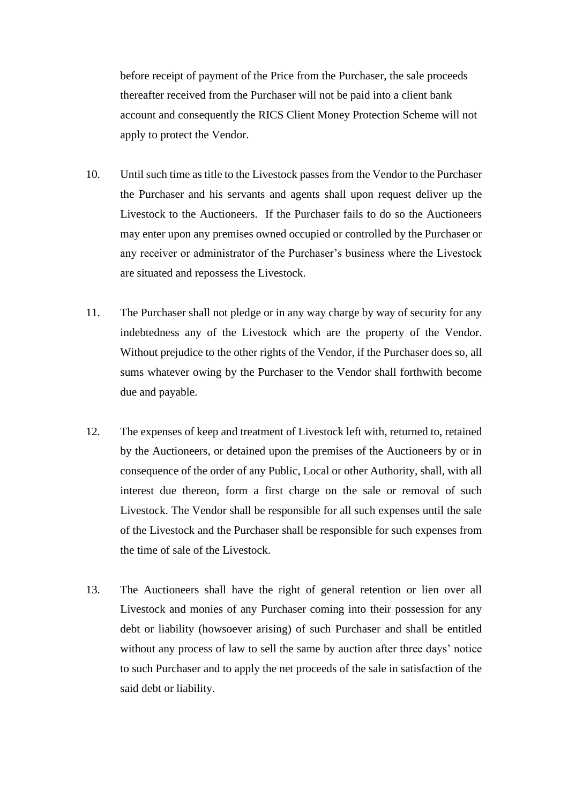before receipt of payment of the Price from the Purchaser, the sale proceeds thereafter received from the Purchaser will not be paid into a client bank account and consequently the RICS Client Money Protection Scheme will not apply to protect the Vendor.

- 10. Until such time as title to the Livestock passes from the Vendor to the Purchaser the Purchaser and his servants and agents shall upon request deliver up the Livestock to the Auctioneers. If the Purchaser fails to do so the Auctioneers may enter upon any premises owned occupied or controlled by the Purchaser or any receiver or administrator of the Purchaser's business where the Livestock are situated and repossess the Livestock.
- 11. The Purchaser shall not pledge or in any way charge by way of security for any indebtedness any of the Livestock which are the property of the Vendor. Without prejudice to the other rights of the Vendor, if the Purchaser does so, all sums whatever owing by the Purchaser to the Vendor shall forthwith become due and payable.
- 12. The expenses of keep and treatment of Livestock left with, returned to, retained by the Auctioneers, or detained upon the premises of the Auctioneers by or in consequence of the order of any Public, Local or other Authority, shall, with all interest due thereon, form a first charge on the sale or removal of such Livestock. The Vendor shall be responsible for all such expenses until the sale of the Livestock and the Purchaser shall be responsible for such expenses from the time of sale of the Livestock.
- 13. The Auctioneers shall have the right of general retention or lien over all Livestock and monies of any Purchaser coming into their possession for any debt or liability (howsoever arising) of such Purchaser and shall be entitled without any process of law to sell the same by auction after three days' notice to such Purchaser and to apply the net proceeds of the sale in satisfaction of the said debt or liability.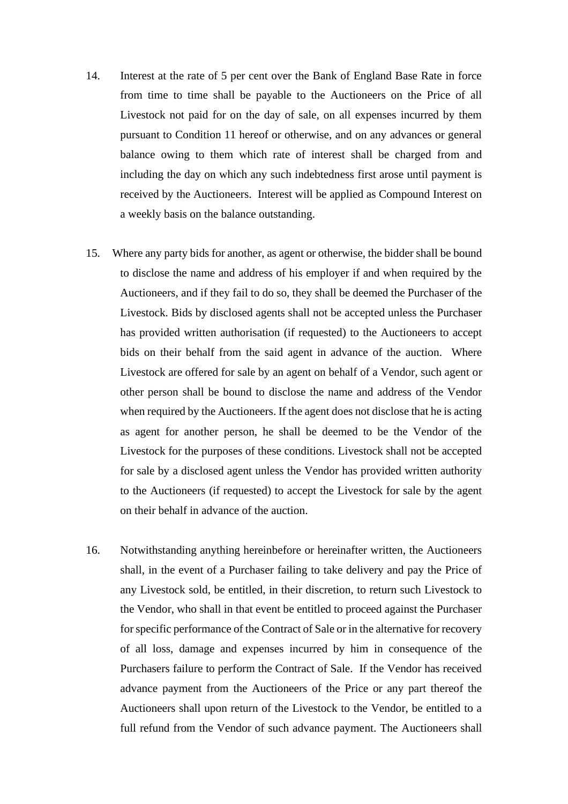- 14. Interest at the rate of 5 per cent over the Bank of England Base Rate in force from time to time shall be payable to the Auctioneers on the Price of all Livestock not paid for on the day of sale, on all expenses incurred by them pursuant to Condition 11 hereof or otherwise, and on any advances or general balance owing to them which rate of interest shall be charged from and including the day on which any such indebtedness first arose until payment is received by the Auctioneers. Interest will be applied as Compound Interest on a weekly basis on the balance outstanding.
- 15. Where any party bids for another, as agent or otherwise, the bidder shall be bound to disclose the name and address of his employer if and when required by the Auctioneers, and if they fail to do so, they shall be deemed the Purchaser of the Livestock. Bids by disclosed agents shall not be accepted unless the Purchaser has provided written authorisation (if requested) to the Auctioneers to accept bids on their behalf from the said agent in advance of the auction. Where Livestock are offered for sale by an agent on behalf of a Vendor, such agent or other person shall be bound to disclose the name and address of the Vendor when required by the Auctioneers. If the agent does not disclose that he is acting as agent for another person, he shall be deemed to be the Vendor of the Livestock for the purposes of these conditions. Livestock shall not be accepted for sale by a disclosed agent unless the Vendor has provided written authority to the Auctioneers (if requested) to accept the Livestock for sale by the agent on their behalf in advance of the auction.
- 16. Notwithstanding anything hereinbefore or hereinafter written, the Auctioneers shall, in the event of a Purchaser failing to take delivery and pay the Price of any Livestock sold, be entitled, in their discretion, to return such Livestock to the Vendor, who shall in that event be entitled to proceed against the Purchaser for specific performance of the Contract of Sale or in the alternative for recovery of all loss, damage and expenses incurred by him in consequence of the Purchasers failure to perform the Contract of Sale. If the Vendor has received advance payment from the Auctioneers of the Price or any part thereof the Auctioneers shall upon return of the Livestock to the Vendor, be entitled to a full refund from the Vendor of such advance payment. The Auctioneers shall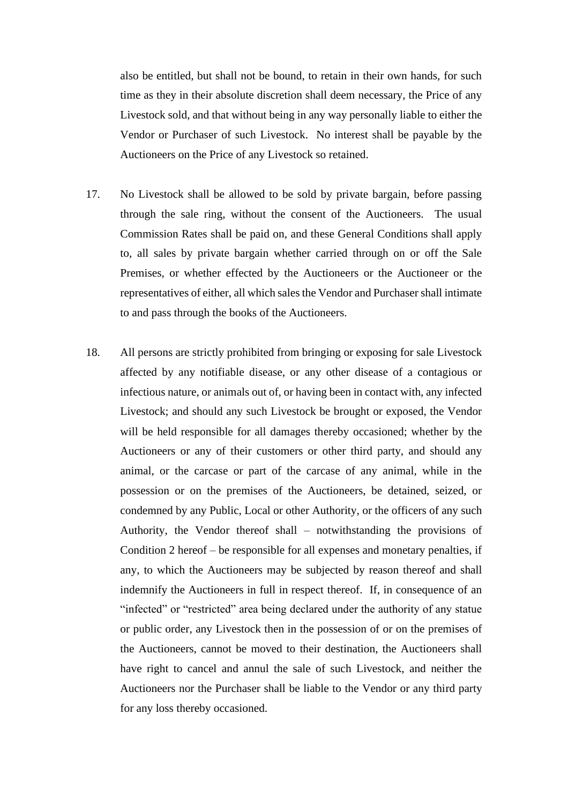also be entitled, but shall not be bound, to retain in their own hands, for such time as they in their absolute discretion shall deem necessary, the Price of any Livestock sold, and that without being in any way personally liable to either the Vendor or Purchaser of such Livestock. No interest shall be payable by the Auctioneers on the Price of any Livestock so retained.

- 17. No Livestock shall be allowed to be sold by private bargain, before passing through the sale ring, without the consent of the Auctioneers. The usual Commission Rates shall be paid on, and these General Conditions shall apply to, all sales by private bargain whether carried through on or off the Sale Premises, or whether effected by the Auctioneers or the Auctioneer or the representatives of either, all which sales the Vendor and Purchaser shall intimate to and pass through the books of the Auctioneers.
- 18. All persons are strictly prohibited from bringing or exposing for sale Livestock affected by any notifiable disease, or any other disease of a contagious or infectious nature, or animals out of, or having been in contact with, any infected Livestock; and should any such Livestock be brought or exposed, the Vendor will be held responsible for all damages thereby occasioned; whether by the Auctioneers or any of their customers or other third party, and should any animal, or the carcase or part of the carcase of any animal, while in the possession or on the premises of the Auctioneers, be detained, seized, or condemned by any Public, Local or other Authority, or the officers of any such Authority, the Vendor thereof shall – notwithstanding the provisions of Condition 2 hereof – be responsible for all expenses and monetary penalties, if any, to which the Auctioneers may be subjected by reason thereof and shall indemnify the Auctioneers in full in respect thereof. If, in consequence of an "infected" or "restricted" area being declared under the authority of any statue or public order, any Livestock then in the possession of or on the premises of the Auctioneers, cannot be moved to their destination, the Auctioneers shall have right to cancel and annul the sale of such Livestock, and neither the Auctioneers nor the Purchaser shall be liable to the Vendor or any third party for any loss thereby occasioned.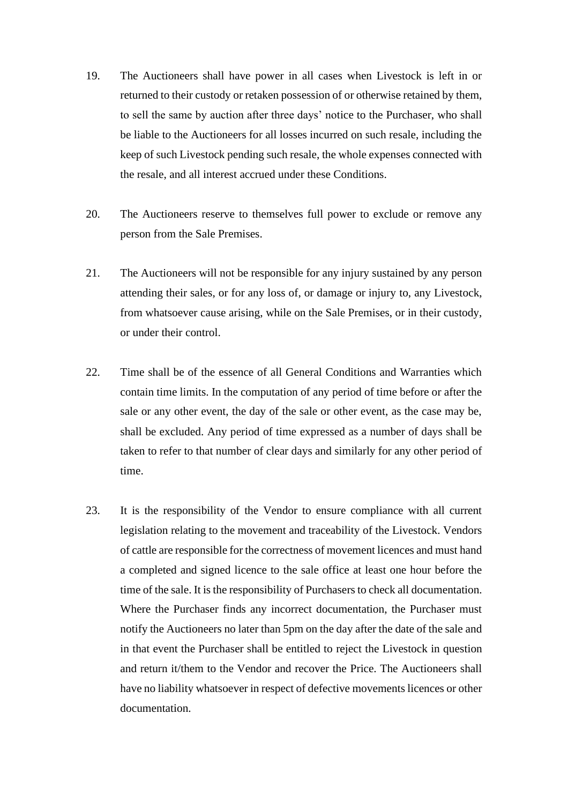- 19. The Auctioneers shall have power in all cases when Livestock is left in or returned to their custody or retaken possession of or otherwise retained by them, to sell the same by auction after three days' notice to the Purchaser, who shall be liable to the Auctioneers for all losses incurred on such resale, including the keep of such Livestock pending such resale, the whole expenses connected with the resale, and all interest accrued under these Conditions.
- 20. The Auctioneers reserve to themselves full power to exclude or remove any person from the Sale Premises.
- 21. The Auctioneers will not be responsible for any injury sustained by any person attending their sales, or for any loss of, or damage or injury to, any Livestock, from whatsoever cause arising, while on the Sale Premises, or in their custody, or under their control.
- 22. Time shall be of the essence of all General Conditions and Warranties which contain time limits. In the computation of any period of time before or after the sale or any other event, the day of the sale or other event, as the case may be, shall be excluded. Any period of time expressed as a number of days shall be taken to refer to that number of clear days and similarly for any other period of time.
- 23. It is the responsibility of the Vendor to ensure compliance with all current legislation relating to the movement and traceability of the Livestock. Vendors of cattle are responsible for the correctness of movement licences and must hand a completed and signed licence to the sale office at least one hour before the time of the sale. It is the responsibility of Purchasers to check all documentation. Where the Purchaser finds any incorrect documentation, the Purchaser must notify the Auctioneers no later than 5pm on the day after the date of the sale and in that event the Purchaser shall be entitled to reject the Livestock in question and return it/them to the Vendor and recover the Price. The Auctioneers shall have no liability whatsoever in respect of defective movements licences or other documentation.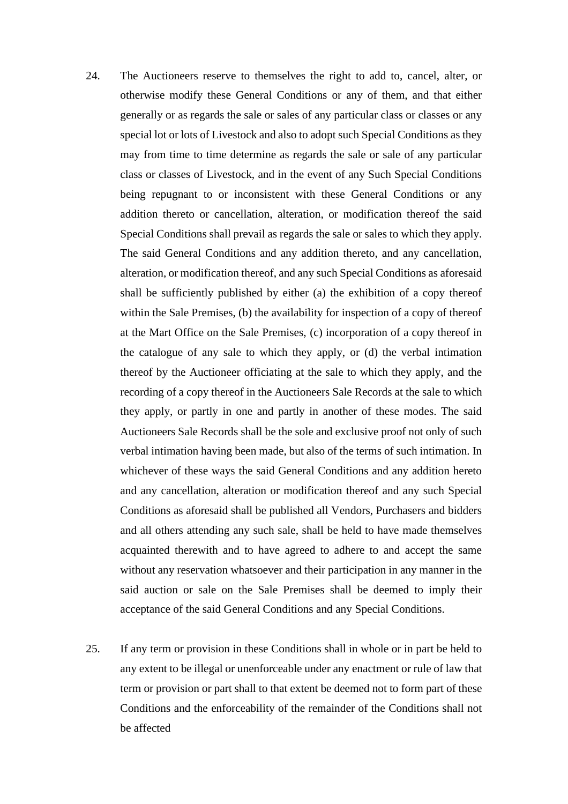- 24. The Auctioneers reserve to themselves the right to add to, cancel, alter, or otherwise modify these General Conditions or any of them, and that either generally or as regards the sale or sales of any particular class or classes or any special lot or lots of Livestock and also to adopt such Special Conditions as they may from time to time determine as regards the sale or sale of any particular class or classes of Livestock, and in the event of any Such Special Conditions being repugnant to or inconsistent with these General Conditions or any addition thereto or cancellation, alteration, or modification thereof the said Special Conditions shall prevail as regards the sale or sales to which they apply. The said General Conditions and any addition thereto, and any cancellation, alteration, or modification thereof, and any such Special Conditions as aforesaid shall be sufficiently published by either (a) the exhibition of a copy thereof within the Sale Premises, (b) the availability for inspection of a copy of thereof at the Mart Office on the Sale Premises, (c) incorporation of a copy thereof in the catalogue of any sale to which they apply, or (d) the verbal intimation thereof by the Auctioneer officiating at the sale to which they apply, and the recording of a copy thereof in the Auctioneers Sale Records at the sale to which they apply, or partly in one and partly in another of these modes. The said Auctioneers Sale Records shall be the sole and exclusive proof not only of such verbal intimation having been made, but also of the terms of such intimation. In whichever of these ways the said General Conditions and any addition hereto and any cancellation, alteration or modification thereof and any such Special Conditions as aforesaid shall be published all Vendors, Purchasers and bidders and all others attending any such sale, shall be held to have made themselves acquainted therewith and to have agreed to adhere to and accept the same without any reservation whatsoever and their participation in any manner in the said auction or sale on the Sale Premises shall be deemed to imply their acceptance of the said General Conditions and any Special Conditions.
- 25. If any term or provision in these Conditions shall in whole or in part be held to any extent to be illegal or unenforceable under any enactment or rule of law that term or provision or part shall to that extent be deemed not to form part of these Conditions and the enforceability of the remainder of the Conditions shall not be affected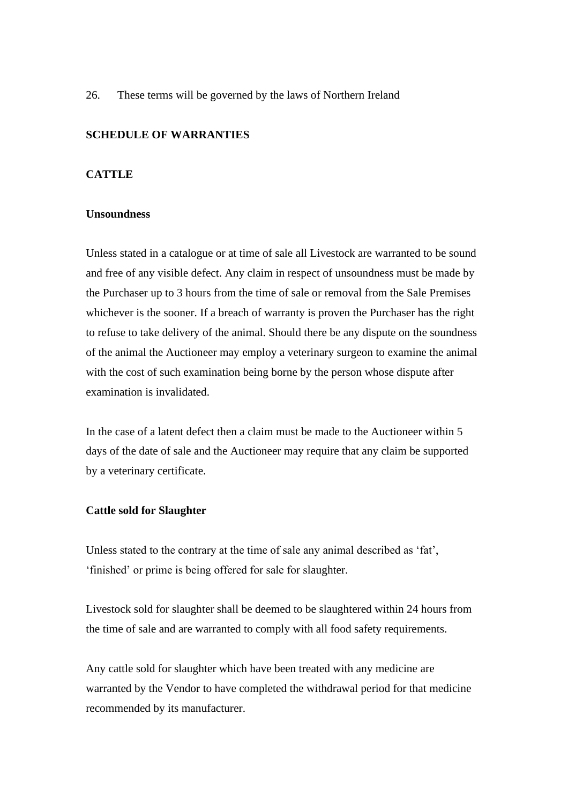26. These terms will be governed by the laws of Northern Ireland

## **SCHEDULE OF WARRANTIES**

## **CATTLE**

## **Unsoundness**

Unless stated in a catalogue or at time of sale all Livestock are warranted to be sound and free of any visible defect. Any claim in respect of unsoundness must be made by the Purchaser up to 3 hours from the time of sale or removal from the Sale Premises whichever is the sooner. If a breach of warranty is proven the Purchaser has the right to refuse to take delivery of the animal. Should there be any dispute on the soundness of the animal the Auctioneer may employ a veterinary surgeon to examine the animal with the cost of such examination being borne by the person whose dispute after examination is invalidated.

In the case of a latent defect then a claim must be made to the Auctioneer within 5 days of the date of sale and the Auctioneer may require that any claim be supported by a veterinary certificate.

## **Cattle sold for Slaughter**

Unless stated to the contrary at the time of sale any animal described as 'fat', 'finished' or prime is being offered for sale for slaughter.

Livestock sold for slaughter shall be deemed to be slaughtered within 24 hours from the time of sale and are warranted to comply with all food safety requirements.

Any cattle sold for slaughter which have been treated with any medicine are warranted by the Vendor to have completed the withdrawal period for that medicine recommended by its manufacturer.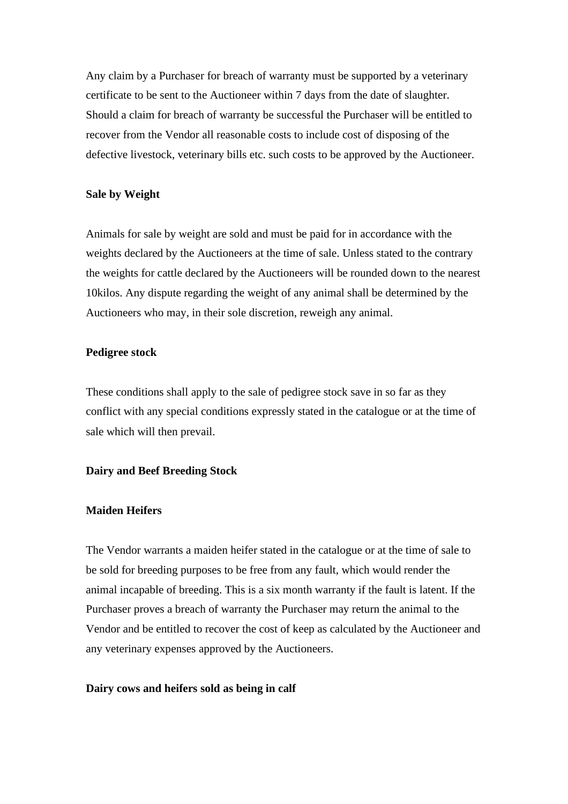Any claim by a Purchaser for breach of warranty must be supported by a veterinary certificate to be sent to the Auctioneer within 7 days from the date of slaughter. Should a claim for breach of warranty be successful the Purchaser will be entitled to recover from the Vendor all reasonable costs to include cost of disposing of the defective livestock, veterinary bills etc. such costs to be approved by the Auctioneer.

## **Sale by Weight**

Animals for sale by weight are sold and must be paid for in accordance with the weights declared by the Auctioneers at the time of sale. Unless stated to the contrary the weights for cattle declared by the Auctioneers will be rounded down to the nearest 10kilos. Any dispute regarding the weight of any animal shall be determined by the Auctioneers who may, in their sole discretion, reweigh any animal.

## **Pedigree stock**

These conditions shall apply to the sale of pedigree stock save in so far as they conflict with any special conditions expressly stated in the catalogue or at the time of sale which will then prevail.

## **Dairy and Beef Breeding Stock**

## **Maiden Heifers**

The Vendor warrants a maiden heifer stated in the catalogue or at the time of sale to be sold for breeding purposes to be free from any fault, which would render the animal incapable of breeding. This is a six month warranty if the fault is latent. If the Purchaser proves a breach of warranty the Purchaser may return the animal to the Vendor and be entitled to recover the cost of keep as calculated by the Auctioneer and any veterinary expenses approved by the Auctioneers.

#### **Dairy cows and heifers sold as being in calf**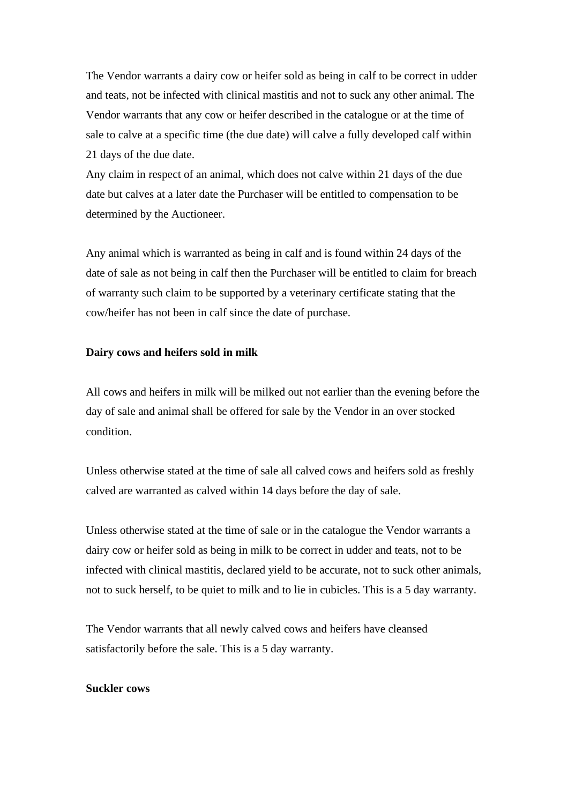The Vendor warrants a dairy cow or heifer sold as being in calf to be correct in udder and teats, not be infected with clinical mastitis and not to suck any other animal. The Vendor warrants that any cow or heifer described in the catalogue or at the time of sale to calve at a specific time (the due date) will calve a fully developed calf within 21 days of the due date.

Any claim in respect of an animal, which does not calve within 21 days of the due date but calves at a later date the Purchaser will be entitled to compensation to be determined by the Auctioneer.

Any animal which is warranted as being in calf and is found within 24 days of the date of sale as not being in calf then the Purchaser will be entitled to claim for breach of warranty such claim to be supported by a veterinary certificate stating that the cow/heifer has not been in calf since the date of purchase.

## **Dairy cows and heifers sold in milk**

All cows and heifers in milk will be milked out not earlier than the evening before the day of sale and animal shall be offered for sale by the Vendor in an over stocked condition.

Unless otherwise stated at the time of sale all calved cows and heifers sold as freshly calved are warranted as calved within 14 days before the day of sale.

Unless otherwise stated at the time of sale or in the catalogue the Vendor warrants a dairy cow or heifer sold as being in milk to be correct in udder and teats, not to be infected with clinical mastitis, declared yield to be accurate, not to suck other animals, not to suck herself, to be quiet to milk and to lie in cubicles. This is a 5 day warranty.

The Vendor warrants that all newly calved cows and heifers have cleansed satisfactorily before the sale. This is a 5 day warranty.

#### **Suckler cows**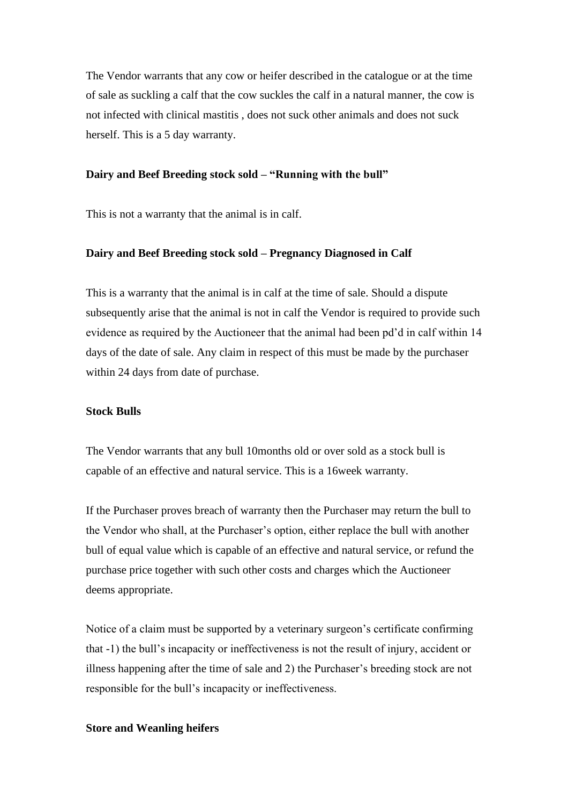The Vendor warrants that any cow or heifer described in the catalogue or at the time of sale as suckling a calf that the cow suckles the calf in a natural manner, the cow is not infected with clinical mastitis , does not suck other animals and does not suck herself. This is a 5 day warranty.

#### **Dairy and Beef Breeding stock sold – "Running with the bull"**

This is not a warranty that the animal is in calf.

## **Dairy and Beef Breeding stock sold – Pregnancy Diagnosed in Calf**

This is a warranty that the animal is in calf at the time of sale. Should a dispute subsequently arise that the animal is not in calf the Vendor is required to provide such evidence as required by the Auctioneer that the animal had been pd'd in calf within 14 days of the date of sale. Any claim in respect of this must be made by the purchaser within 24 days from date of purchase.

#### **Stock Bulls**

The Vendor warrants that any bull 10months old or over sold as a stock bull is capable of an effective and natural service. This is a 16week warranty.

If the Purchaser proves breach of warranty then the Purchaser may return the bull to the Vendor who shall, at the Purchaser's option, either replace the bull with another bull of equal value which is capable of an effective and natural service, or refund the purchase price together with such other costs and charges which the Auctioneer deems appropriate.

Notice of a claim must be supported by a veterinary surgeon's certificate confirming that -1) the bull's incapacity or ineffectiveness is not the result of injury, accident or illness happening after the time of sale and 2) the Purchaser's breeding stock are not responsible for the bull's incapacity or ineffectiveness.

#### **Store and Weanling heifers**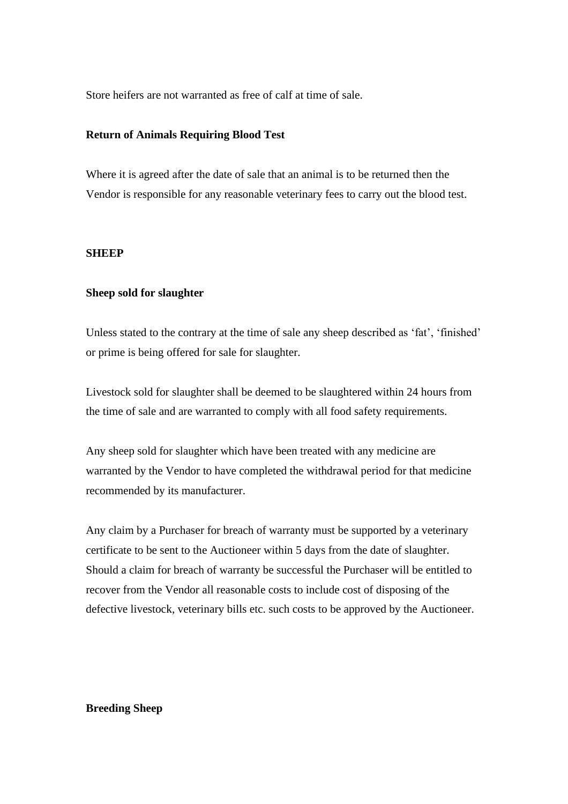Store heifers are not warranted as free of calf at time of sale.

## **Return of Animals Requiring Blood Test**

Where it is agreed after the date of sale that an animal is to be returned then the Vendor is responsible for any reasonable veterinary fees to carry out the blood test.

#### **SHEEP**

#### **Sheep sold for slaughter**

Unless stated to the contrary at the time of sale any sheep described as 'fat', 'finished' or prime is being offered for sale for slaughter.

Livestock sold for slaughter shall be deemed to be slaughtered within 24 hours from the time of sale and are warranted to comply with all food safety requirements.

Any sheep sold for slaughter which have been treated with any medicine are warranted by the Vendor to have completed the withdrawal period for that medicine recommended by its manufacturer.

Any claim by a Purchaser for breach of warranty must be supported by a veterinary certificate to be sent to the Auctioneer within 5 days from the date of slaughter. Should a claim for breach of warranty be successful the Purchaser will be entitled to recover from the Vendor all reasonable costs to include cost of disposing of the defective livestock, veterinary bills etc. such costs to be approved by the Auctioneer.

## **Breeding Sheep**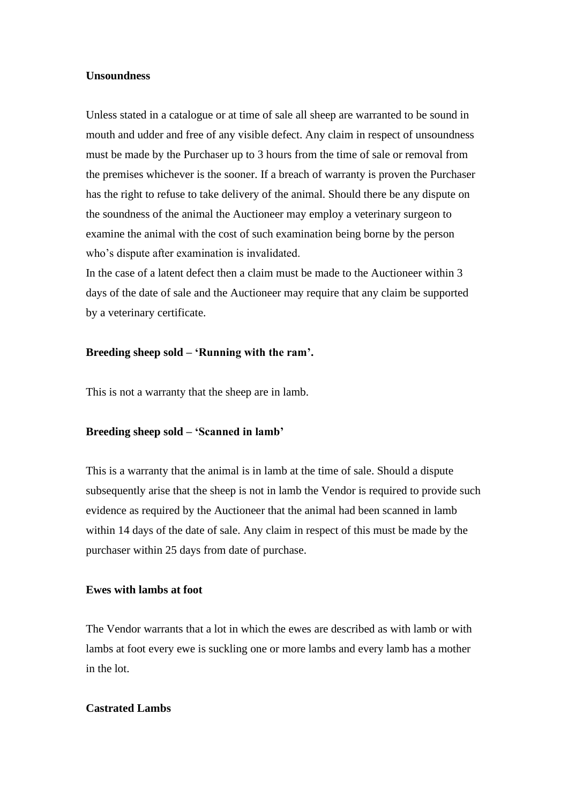### **Unsoundness**

Unless stated in a catalogue or at time of sale all sheep are warranted to be sound in mouth and udder and free of any visible defect. Any claim in respect of unsoundness must be made by the Purchaser up to 3 hours from the time of sale or removal from the premises whichever is the sooner. If a breach of warranty is proven the Purchaser has the right to refuse to take delivery of the animal. Should there be any dispute on the soundness of the animal the Auctioneer may employ a veterinary surgeon to examine the animal with the cost of such examination being borne by the person who's dispute after examination is invalidated.

In the case of a latent defect then a claim must be made to the Auctioneer within 3 days of the date of sale and the Auctioneer may require that any claim be supported by a veterinary certificate.

#### **Breeding sheep sold – 'Running with the ram'.**

This is not a warranty that the sheep are in lamb.

#### **Breeding sheep sold – 'Scanned in lamb'**

This is a warranty that the animal is in lamb at the time of sale. Should a dispute subsequently arise that the sheep is not in lamb the Vendor is required to provide such evidence as required by the Auctioneer that the animal had been scanned in lamb within 14 days of the date of sale. Any claim in respect of this must be made by the purchaser within 25 days from date of purchase.

## **Ewes with lambs at foot**

The Vendor warrants that a lot in which the ewes are described as with lamb or with lambs at foot every ewe is suckling one or more lambs and every lamb has a mother in the lot.

## **Castrated Lambs**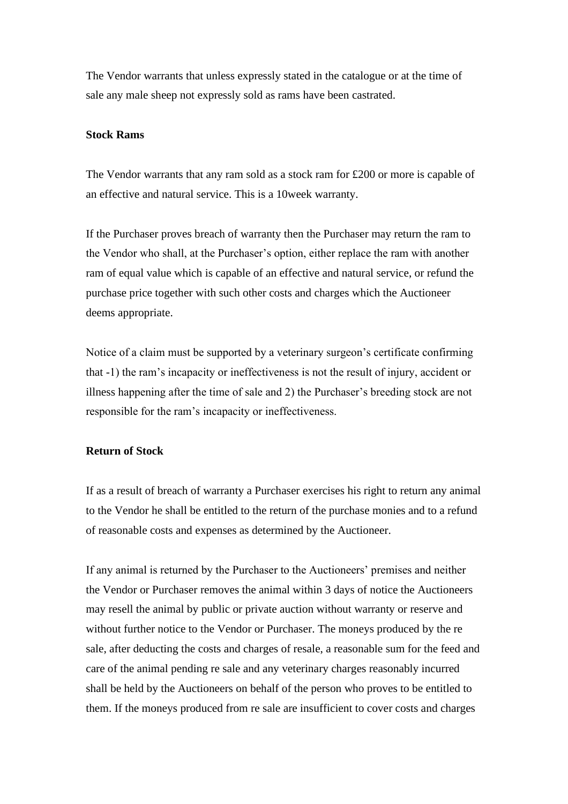The Vendor warrants that unless expressly stated in the catalogue or at the time of sale any male sheep not expressly sold as rams have been castrated.

## **Stock Rams**

The Vendor warrants that any ram sold as a stock ram for £200 or more is capable of an effective and natural service. This is a 10week warranty.

If the Purchaser proves breach of warranty then the Purchaser may return the ram to the Vendor who shall, at the Purchaser's option, either replace the ram with another ram of equal value which is capable of an effective and natural service, or refund the purchase price together with such other costs and charges which the Auctioneer deems appropriate.

Notice of a claim must be supported by a veterinary surgeon's certificate confirming that -1) the ram's incapacity or ineffectiveness is not the result of injury, accident or illness happening after the time of sale and 2) the Purchaser's breeding stock are not responsible for the ram's incapacity or ineffectiveness.

#### **Return of Stock**

If as a result of breach of warranty a Purchaser exercises his right to return any animal to the Vendor he shall be entitled to the return of the purchase monies and to a refund of reasonable costs and expenses as determined by the Auctioneer.

If any animal is returned by the Purchaser to the Auctioneers' premises and neither the Vendor or Purchaser removes the animal within 3 days of notice the Auctioneers may resell the animal by public or private auction without warranty or reserve and without further notice to the Vendor or Purchaser. The moneys produced by the re sale, after deducting the costs and charges of resale, a reasonable sum for the feed and care of the animal pending re sale and any veterinary charges reasonably incurred shall be held by the Auctioneers on behalf of the person who proves to be entitled to them. If the moneys produced from re sale are insufficient to cover costs and charges